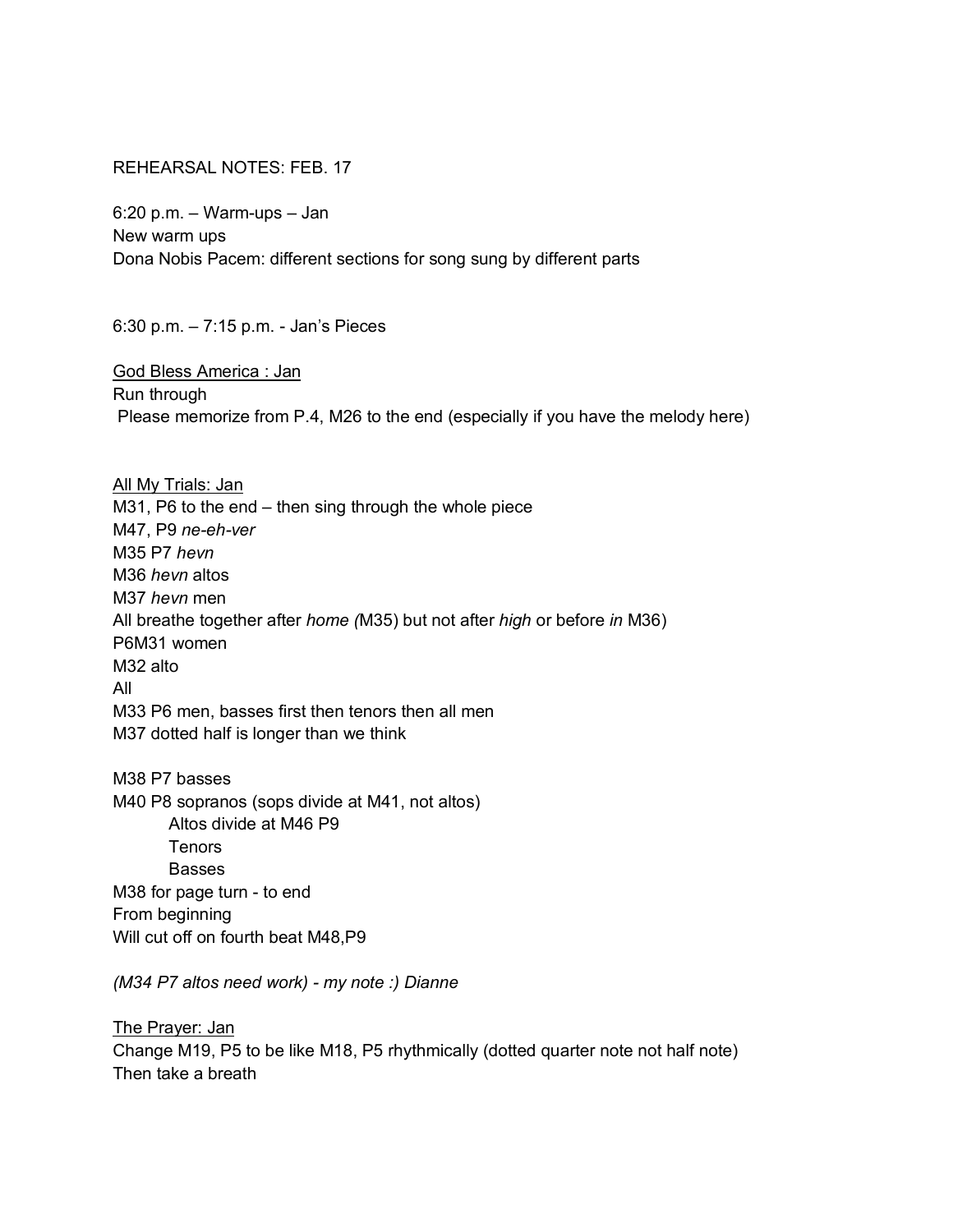## REHEARSAL NOTES: FEB. 17

6:20 p.m. – Warm-ups – Jan New warm ups Dona Nobis Pacem: different sections for song sung by different parts

6:30 p.m. – 7:15 p.m. - Jan's Pieces

God Bless America : Jan Run through Please memorize from P.4, M26 to the end (especially if you have the melody here)

All My Trials: Jan M31, P6 to the end – then sing through the whole piece M47, P9 *ne-eh-ver* M35 P7 *hevn* M36 *hevn* altos M37 *hevn* men All breathe together after *home (*M35) but not after *high* or before *in* M36) P6M31 women M32 alto All M33 P6 men, basses first then tenors then all men M37 dotted half is longer than we think

M38 P7 basses M40 P8 sopranos (sops divide at M41, not altos) Altos divide at M46 P9 Tenors Basses M38 for page turn - to end From beginning Will cut off on fourth beat M48,P9

*(M34 P7 altos need work) - my note :) Dianne*

The Prayer: Jan Change M19, P5 to be like M18, P5 rhythmically (dotted quarter note not half note) Then take a breath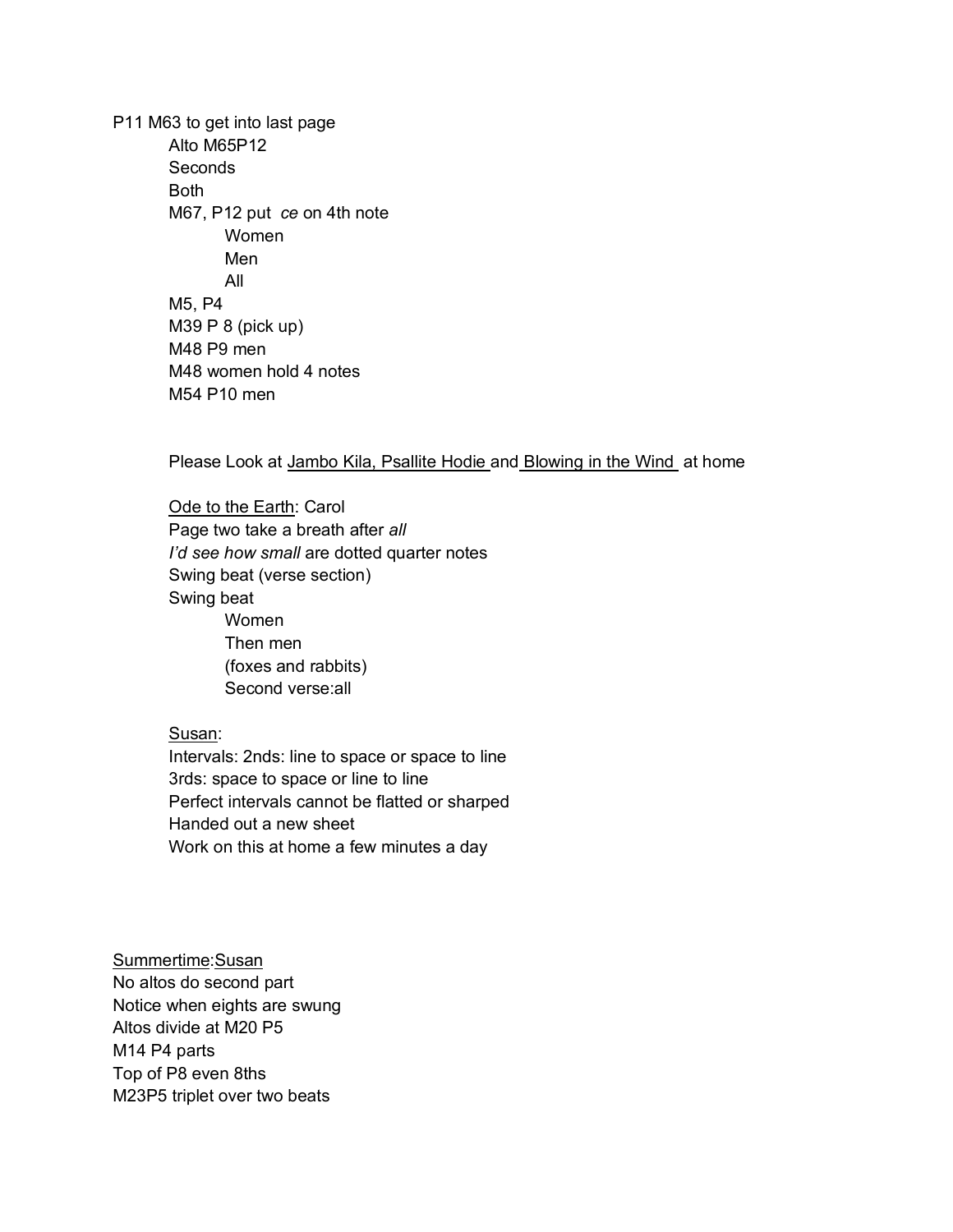P11 M63 to get into last page Alto M65P12 Seconds Both M67, P12 put *ce* on 4th note Women Men All M5, P4 M39 P 8 (pick up) M48 P9 men M48 women hold 4 notes M54 P10 men

Please Look at Jambo Kila, Psallite Hodie and Blowing in the Wind at home

Ode to the Earth: Carol Page two take a breath after *all I'd see how small* are dotted quarter notes Swing beat (verse section) Swing beat Women Then men (foxes and rabbits) Second verse:all

## Susan:

Intervals: 2nds: line to space or space to line 3rds: space to space or line to line Perfect intervals cannot be flatted or sharped Handed out a new sheet Work on this at home a few minutes a day

Summertime:Susan No altos do second part Notice when eights are swung Altos divide at M20 P5 M14 P4 parts Top of P8 even 8ths M23P5 triplet over two beats